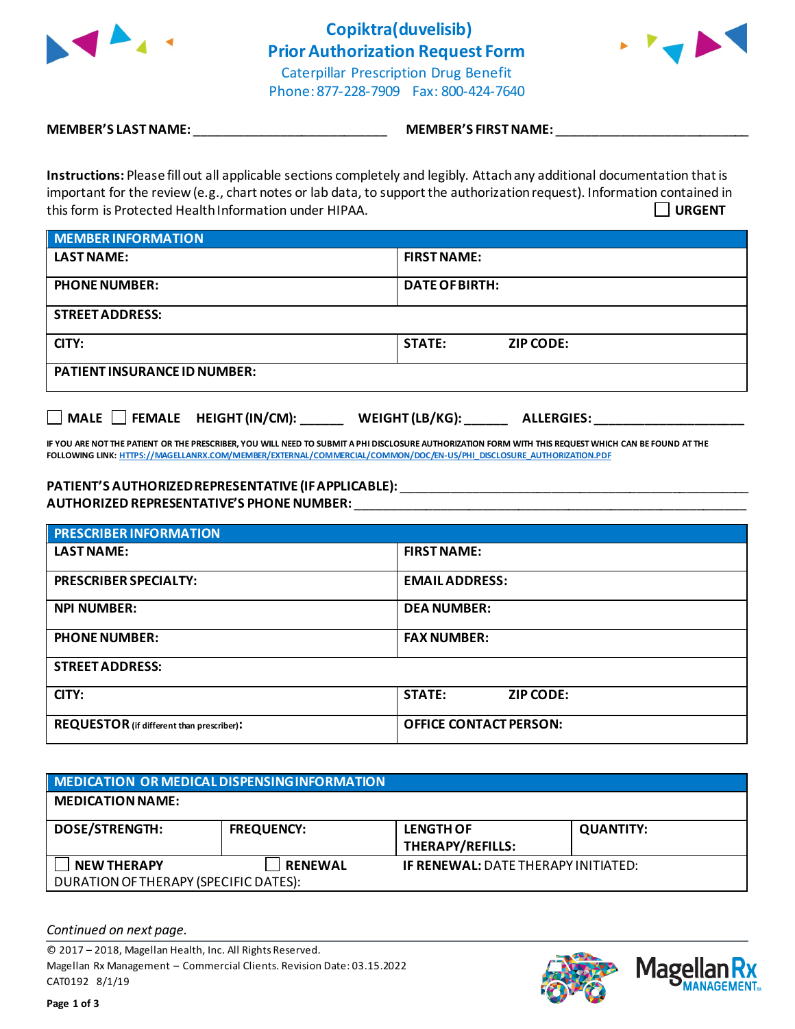

**Copiktra(duvelisib) Prior Authorization Request Form** Caterpillar Prescription Drug Benefit Phone: 877-228-7909 Fax: 800-424-7640



**MEMBER'S LAST NAME:** \_\_\_\_\_\_\_\_\_\_\_\_\_\_\_\_\_\_\_\_\_\_\_\_\_\_\_ **MEMBER'S FIRST NAME:** \_\_\_\_\_\_\_\_\_\_\_\_\_\_\_\_\_\_\_\_\_\_\_\_\_\_\_

**Instructions:** Please fill out all applicable sections completely and legibly. Attach any additional documentation that is important for the review (e.g., chart notes or lab data, to support the authorization request). Information contained in this form is Protected Health Information under HIPAA. **URGENT**

| <b>MEMBER INFORMATION</b>           |                                   |  |
|-------------------------------------|-----------------------------------|--|
| <b>LAST NAME:</b>                   | <b>FIRST NAME:</b>                |  |
| <b>PHONE NUMBER:</b>                | <b>DATE OF BIRTH:</b>             |  |
| <b>STREET ADDRESS:</b>              |                                   |  |
| CITY:                               | <b>STATE:</b><br><b>ZIP CODE:</b> |  |
| <b>PATIENT INSURANCE ID NUMBER:</b> |                                   |  |

□ MALE □ FEMALE HEIGHT (IN/CM): \_\_\_\_\_\_\_ WEIGHT (LB/KG): \_\_\_\_\_\_ ALLERGIES: \_\_\_\_

**IF YOU ARE NOT THE PATIENT OR THE PRESCRIBER, YOU WILL NEED TO SUBMIT A PHI DISCLOSURE AUTHORIZATION FORM WITH THIS REQUEST WHICH CAN BE FOUND AT THE FOLLOWING LINK[: HTTPS://MAGELLANRX.COM/MEMBER/EXTERNAL/COMMERCIAL/COMMON/DOC/EN-US/PHI\\_DISCLOSURE\\_AUTHORIZATION.PDF](https://magellanrx.com/member/external/commercial/common/doc/en-us/PHI_Disclosure_Authorization.pdf)**

## **PATIENT'S AUTHORIZED REPRESENTATIVE (IF APPLICABLE):** \_\_\_\_\_\_\_\_\_\_\_\_\_\_\_\_\_\_\_\_\_\_\_\_\_\_\_\_\_\_\_\_\_\_\_\_\_\_\_\_\_\_\_\_\_\_\_\_\_

**AUTHORIZED REPRESENTATIVE'S PHONE NUMBER:** \_\_\_\_\_\_\_\_\_\_\_\_\_\_\_\_\_\_\_\_\_\_\_\_\_\_\_\_\_\_\_\_\_\_\_\_\_\_\_\_\_\_\_\_\_\_\_\_\_\_\_\_\_\_\_

| <b>PRESCRIBER INFORMATION</b>             |                                   |  |  |
|-------------------------------------------|-----------------------------------|--|--|
| <b>LAST NAME:</b>                         | <b>FIRST NAME:</b>                |  |  |
| <b>PRESCRIBER SPECIALTY:</b>              | <b>EMAILADDRESS:</b>              |  |  |
| <b>NPI NUMBER:</b>                        | <b>DEA NUMBER:</b>                |  |  |
| <b>PHONE NUMBER:</b>                      | <b>FAX NUMBER:</b>                |  |  |
| <b>STREET ADDRESS:</b>                    |                                   |  |  |
| CITY:                                     | <b>STATE:</b><br><b>ZIP CODE:</b> |  |  |
| REQUESTOR (if different than prescriber): | <b>OFFICE CONTACT PERSON:</b>     |  |  |

| MEDICATION OR MEDICAL DISPENSING INFORMATION                |                   |                                             |                  |  |  |
|-------------------------------------------------------------|-------------------|---------------------------------------------|------------------|--|--|
| <b>MEDICATION NAME:</b>                                     |                   |                                             |                  |  |  |
| <b>DOSE/STRENGTH:</b>                                       | <b>FREQUENCY:</b> | <b>LENGTH OF</b><br><b>THERAPY/REFILLS:</b> | <b>QUANTITY:</b> |  |  |
| <b>NEW THERAPY</b><br>DURATION OF THERAPY (SPECIFIC DATES): | <b>RENEWAL</b>    | <b>IF RENEWAL: DATE THERAPY INITIATED:</b>  |                  |  |  |

*Continued on next page.*

© 2017 – 2018, Magellan Health, Inc. All Rights Reserved. Magellan Rx Management – Commercial Clients. Revision Date: 03.15.2022 CAT0192 8/1/19



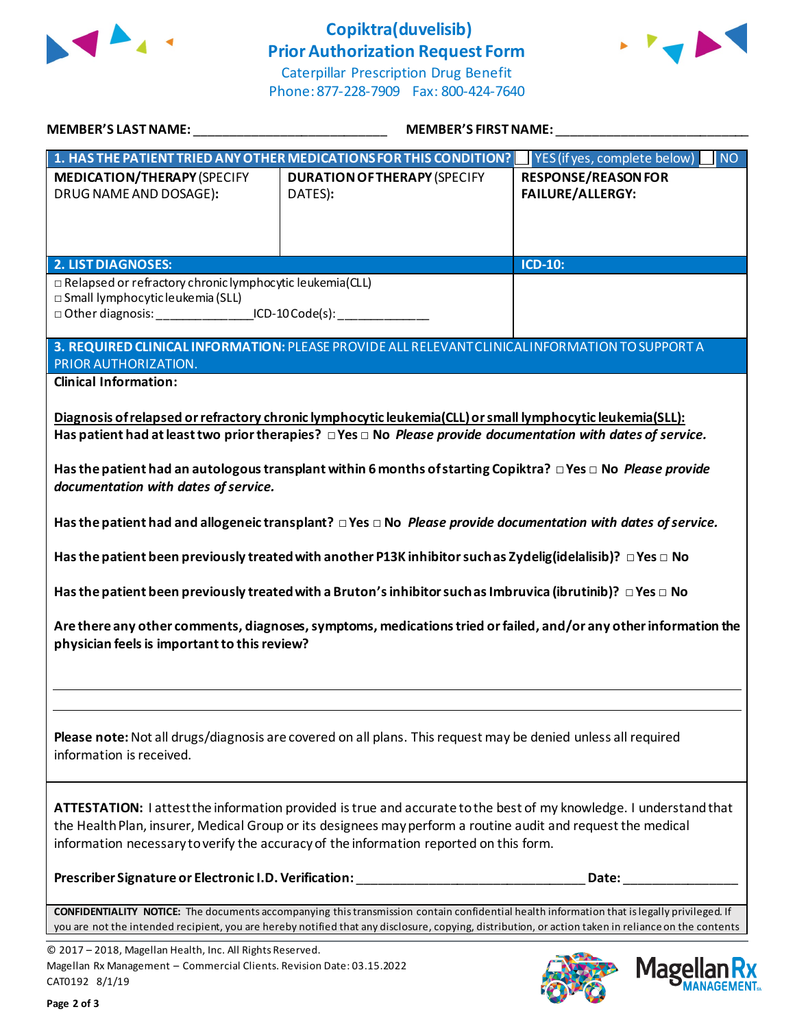

## **Copiktra(duvelisib) Prior Authorization Request Form**



Caterpillar Prescription Drug Benefit Phone: 877-228-7909 Fax: 800-424-7640

| <b>MEMBER'S LAST NAME:</b> NAME                                                                                                                                                   | <b>MEMBER'S FIRST NAME:</b>                                                                                                                                                                                                                                                                                                                                                                                                                                                                                                                                                                                                                                                                                                                                                                                                                                      |                                                       |  |
|-----------------------------------------------------------------------------------------------------------------------------------------------------------------------------------|------------------------------------------------------------------------------------------------------------------------------------------------------------------------------------------------------------------------------------------------------------------------------------------------------------------------------------------------------------------------------------------------------------------------------------------------------------------------------------------------------------------------------------------------------------------------------------------------------------------------------------------------------------------------------------------------------------------------------------------------------------------------------------------------------------------------------------------------------------------|-------------------------------------------------------|--|
|                                                                                                                                                                                   | 1. HAS THE PATIENT TRIED ANY OTHER MEDICATIONS FOR THIS CONDITION?                                                                                                                                                                                                                                                                                                                                                                                                                                                                                                                                                                                                                                                                                                                                                                                               | YES (if yes, complete below)<br><b>NO</b>             |  |
| <b>MEDICATION/THERAPY (SPECIFY</b><br>DRUG NAME AND DOSAGE):                                                                                                                      | <b>DURATION OF THERAPY (SPECIFY</b><br>DATES):                                                                                                                                                                                                                                                                                                                                                                                                                                                                                                                                                                                                                                                                                                                                                                                                                   | <b>RESPONSE/REASON FOR</b><br><b>FAILURE/ALLERGY:</b> |  |
| <b>2. LIST DIAGNOSES:</b>                                                                                                                                                         |                                                                                                                                                                                                                                                                                                                                                                                                                                                                                                                                                                                                                                                                                                                                                                                                                                                                  | ICD-10:                                               |  |
| □ Relapsed or refractory chronic lymphocytic leukemia(CLL)<br>$\square$ Small lymphocytic leukemia (SLL)<br>□ Other diagnosis: __________________ICD-10 Code(s): ________________ |                                                                                                                                                                                                                                                                                                                                                                                                                                                                                                                                                                                                                                                                                                                                                                                                                                                                  |                                                       |  |
| PRIOR AUTHORIZATION.                                                                                                                                                              | 3. REQUIRED CLINICAL INFORMATION: PLEASE PROVIDE ALL RELEVANT CLINICAL INFORMATION TO SUPPORT A                                                                                                                                                                                                                                                                                                                                                                                                                                                                                                                                                                                                                                                                                                                                                                  |                                                       |  |
| <b>Clinical Information:</b><br>documentation with dates of service.<br>physician feels is important to this review?                                                              | Diagnosis of relapsed or refractory chronic lymphocytic leukemia (CLL) or small lymphocytic leukemia (SLL):<br>Has patient had at least two prior therapies? $\Box$ Yes $\Box$ No Please provide documentation with dates of service.<br>Has the patient had an autologous transplant within 6 months of starting Copiktra? $\Box$ Yes $\Box$ No Please provide<br>Has the patient had and allogeneic transplant? $\Box$ Yes $\Box$ No Please provide documentation with dates of service.<br>Has the patient been previously treated with another P13K inhibitor such as Zydelig(idelalisib)? $\Box$ Yes $\Box$ No<br>Has the patient been previously treated with a Bruton's inhibitor such as Imbruvica (ibrutinib)? $\Box$ Yes $\Box$ No<br>Are there any other comments, diagnoses, symptoms, medications tried or failed, and/or any other information the |                                                       |  |
| information is received.                                                                                                                                                          | Please note: Not all drugs/diagnosis are covered on all plans. This request may be denied unless all required                                                                                                                                                                                                                                                                                                                                                                                                                                                                                                                                                                                                                                                                                                                                                    |                                                       |  |
|                                                                                                                                                                                   | ATTESTATION: I attest the information provided is true and accurate to the best of my knowledge. I understand that<br>the Health Plan, insurer, Medical Group or its designees may perform a routine audit and request the medical<br>information necessary to verify the accuracy of the information reported on this form.                                                                                                                                                                                                                                                                                                                                                                                                                                                                                                                                     |                                                       |  |
| Prescriber Signature or Electronic I.D. Verification:                                                                                                                             |                                                                                                                                                                                                                                                                                                                                                                                                                                                                                                                                                                                                                                                                                                                                                                                                                                                                  | Date:                                                 |  |
|                                                                                                                                                                                   | <b>CONFIDENTIALITY NOTICE:</b> The documents accompanying this transmission contain confidential health information that is legally privileged. If<br>you are not the intended recipient, you are hereby notified that any disclosure, copying, distribution, or action taken in reliance on the contents                                                                                                                                                                                                                                                                                                                                                                                                                                                                                                                                                        |                                                       |  |
| © 2017 - 2018, Magellan Health, Inc. All Rights Reserved.<br>Magellan Rx Management - Commercial Clients. Revision Date: 03.15.2022<br>CAT0192 8/1/19                             |                                                                                                                                                                                                                                                                                                                                                                                                                                                                                                                                                                                                                                                                                                                                                                                                                                                                  | Magel                                                 |  |